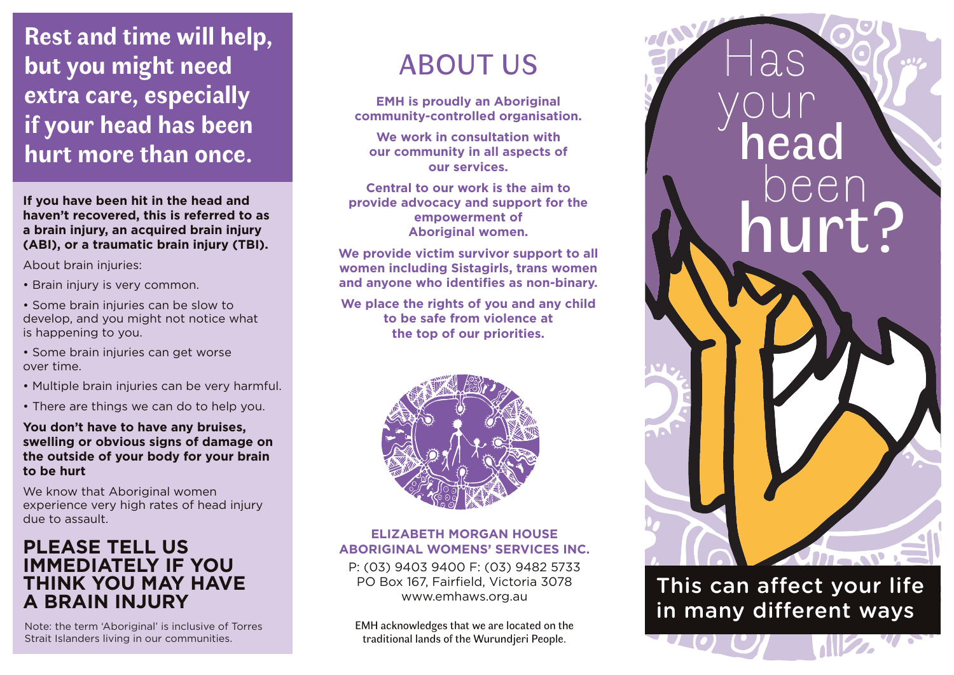**Rest and time will help, but you might need extra care, especially if your head has been hurt more than once.**

**If you have been hit in the head and haven't recovered, this is referred to as a brain injury, an acquired brain injury (ABI), or a traumatic brain injury (TBI).**

About brain injuries:

- Brain injury is very common.
- Some brain injuries can be slow to develop, and you might not notice what is happening to you.
- Some brain injuries can get worse over time.
- Multiple brain injuries can be very harmful.
- There are things we can do to help you.

#### **You don't have to have any bruises, swelling or obvious signs of damage on the outside of your body for your brain to be hurt**

We know that Aboriginal women experience very high rates of head injury due to assault.

# **PLEASE TELL US IMMEDIATELY IF YOU THINK YOU MAY HAVE A BRAIN INJURY**

Note: the term 'Aboriginal' is inclusive of Torres Strait Islanders living in our communities.

# ABOUT US

**EMH is proudly an Aboriginal community-controlled organisation.** 

**We work in consultation with our community in all aspects of our services.**

**Central to our work is the aim to provide advocacy and support for the empowerment of Aboriginal women.**

**We provide victim survivor support to all women including Sistagirls, trans women and anyone who identifies as non-binary.**

**We place the rights of you and any child to be safe from violence at the top of our priorities.**



#### ELIZABETH **ELIZABETH MORGAN HOUSE ABORIGINAL WOMENS' SERVICES INC.**

BORIGINAL WOMENS' SERVICES ING<br>P: (03) 9403 9400 F: (03) 9482 5733 ABORIGINAL PO Box 167, Fairfield, Victoria 3078 www.emhaws.org.au<br>.

EMH acknowledges that we are located on the traditional lands of the Wurundjeri People.



This can affect your life in many different ways